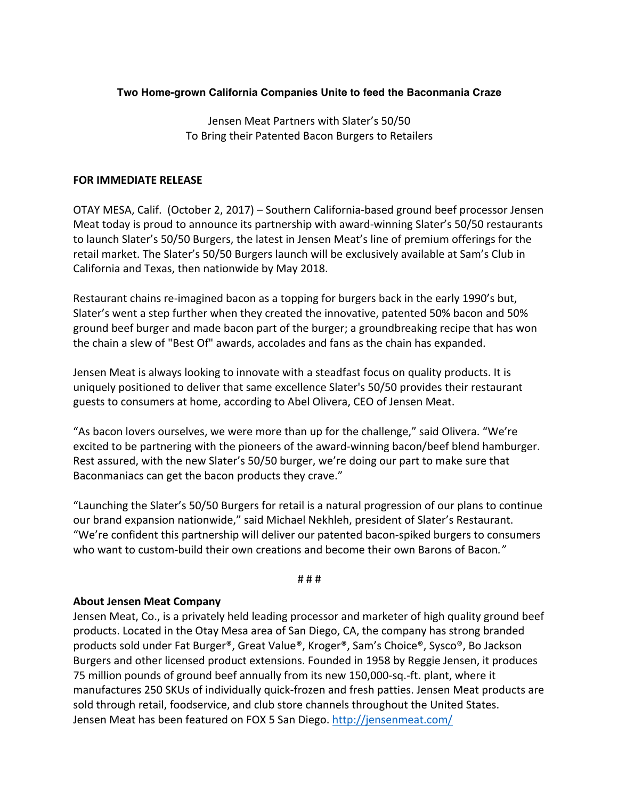# **Two Home-grown California Companies Unite to feed the Baconmania Craze**

Jensen Meat Partners with Slater's 50/50 To Bring their Patented Bacon Burgers to Retailers

## **FOR IMMEDIATE RELEASE**

OTAY MESA, Calif. (October 2, 2017) – Southern California-based ground beef processor Jensen Meat today is proud to announce its partnership with award-winning Slater's 50/50 restaurants to launch Slater's 50/50 Burgers, the latest in Jensen Meat's line of premium offerings for the retail market. The Slater's 50/50 Burgers launch will be exclusively available at Sam's Club in California and Texas, then nationwide by May 2018.

Restaurant chains re-imagined bacon as a topping for burgers back in the early 1990's but, Slater's went a step further when they created the innovative, patented 50% bacon and 50% ground beef burger and made bacon part of the burger; a groundbreaking recipe that has won the chain a slew of "Best Of" awards, accolades and fans as the chain has expanded.

Jensen Meat is always looking to innovate with a steadfast focus on quality products. It is uniquely positioned to deliver that same excellence Slater's 50/50 provides their restaurant guests to consumers at home, according to Abel Olivera, CEO of Jensen Meat.

"As bacon lovers ourselves, we were more than up for the challenge," said Olivera. "We're excited to be partnering with the pioneers of the award-winning bacon/beef blend hamburger. Rest assured, with the new Slater's 50/50 burger, we're doing our part to make sure that Baconmaniacs can get the bacon products they crave."

"Launching the Slater's 50/50 Burgers for retail is a natural progression of our plans to continue our brand expansion nationwide," said Michael Nekhleh, president of Slater's Restaurant. "We're confident this partnership will deliver our patented bacon-spiked burgers to consumers who want to custom-build their own creations and become their own Barons of Bacon."

#### # # #

### **About Jensen Meat Company**

Jensen Meat, Co., is a privately held leading processor and marketer of high quality ground beef products. Located in the Otay Mesa area of San Diego, CA, the company has strong branded products sold under Fat Burger®, Great Value®, Kroger®, Sam's Choice®, Sysco®, Bo Jackson Burgers and other licensed product extensions. Founded in 1958 by Reggie Jensen, it produces 75 million pounds of ground beef annually from its new 150,000-sq.-ft. plant, where it manufactures 250 SKUs of individually quick-frozen and fresh patties. Jensen Meat products are sold through retail, foodservice, and club store channels throughout the United States. Jensen Meat has been featured on FOX 5 San Diego. http://jensenmeat.com/